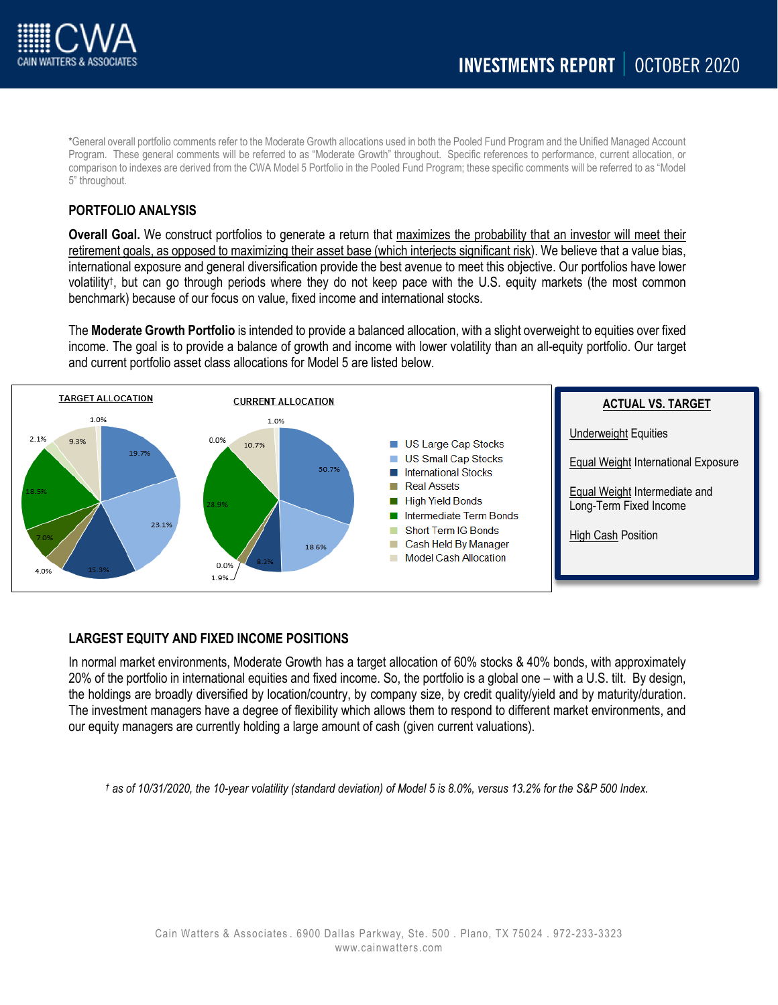

\*General overall portfolio comments refer to the Moderate Growth allocations used in both the Pooled Fund Program and the Unified Managed Account Program. These general comments will be referred to as "Moderate Growth" throughout. Specific references to performance, current allocation, or comparison to indexes are derived from the CWA Model 5 Portfolio in the Pooled Fund Program; these specific comments will be referred to as "Model 5" throughout.

## **PORTFOLIO ANALYSIS**

**Overall Goal.** We construct portfolios to generate a return that maximizes the probability that an investor will meet their retirement goals, as opposed to maximizing their asset base (which interjects significant risk). We believe that a value bias, international exposure and general diversification provide the best avenue to meet this objective. Our portfolios have lower volatility†, but can go through periods where they do not keep pace with the U.S. equity markets (the most common benchmark) because of our focus on value, fixed income and international stocks.

The **Moderate Growth Portfolio** is intended to provide a balanced allocation, with a slight overweight to equities over fixed income. The goal is to provide a balance of growth and income with lower volatility than an all-equity portfolio. Our target and current portfolio asset class allocations for Model 5 are listed below.



# **LARGEST EQUITY AND FIXED INCOME POSITIONS**

In normal market environments, Moderate Growth has a target allocation of 60% stocks & 40% bonds, with approximately 20% of the portfolio in international equities and fixed income. So, the portfolio is a global one – with a U.S. tilt. By design, the holdings are broadly diversified by location/country, by company size, by credit quality/yield and by maturity/duration. The investment managers have a degree of flexibility which allows them to respond to different market environments, and our equity managers are currently holding a large amount of cash (given current valuations).

*† as of 10/31/2020, the 10-year volatility (standard deviation) of Model 5 is 8.0%, versus 13.2% for the S&P 500 Index.*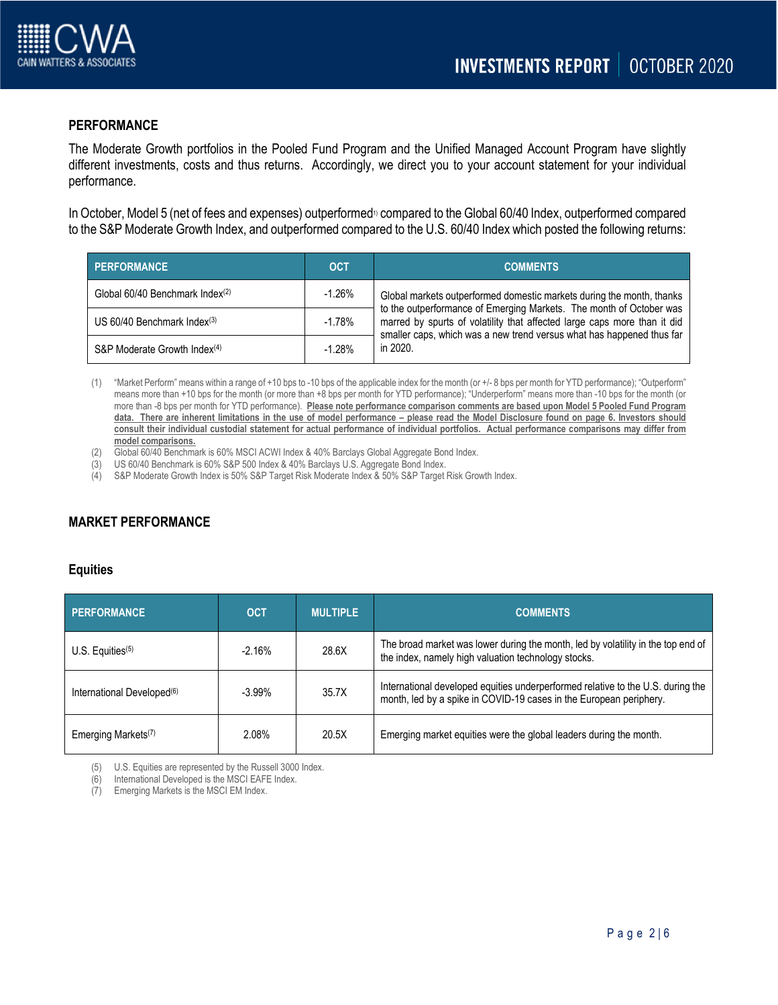

## **PERFORMANCE**

The Moderate Growth portfolios in the Pooled Fund Program and the Unified Managed Account Program have slightly different investments, costs and thus returns. Accordingly, we direct you to your account statement for your individual performance.

In October, Model 5 (net of fees and expenses) outperformed<sup>10</sup> compared to the Global 60/40 Index, outperformed compared to the S&P Moderate Growth Index, and outperformed compared to the U.S. 60/40 Index which posted the following returns:

| <b>PERFORMANCE</b>                        | <b>OCT</b> | <b>COMMENTS</b>                                                                                                                                                                                                          |  |  |  |  |
|-------------------------------------------|------------|--------------------------------------------------------------------------------------------------------------------------------------------------------------------------------------------------------------------------|--|--|--|--|
| Global 60/40 Benchmark Index(2)           | $-1.26%$   | Global markets outperformed domestic markets during the month, thanks                                                                                                                                                    |  |  |  |  |
| US $60/40$ Benchmark Index <sup>(3)</sup> | $-1.78\%$  | to the outperformance of Emerging Markets. The month of October was<br>marred by spurts of volatility that affected large caps more than it did<br>smaller caps, which was a new trend versus what has happened thus far |  |  |  |  |
| S&P Moderate Growth Index <sup>(4)</sup>  | $-1.28%$   | in 2020.                                                                                                                                                                                                                 |  |  |  |  |

(1) "Market Perform" means within a range of +10 bps to -10 bps of the applicable index for the month (or +/- 8 bps per month for YTD performance); "Outperform" means more than +10 bps for the month (or more than +8 bps per month for YTD performance); "Underperform" means more than -10 bps for the month (or more than -8 bps per month for YTD performance). **Please note performance comparison comments are based upon Model 5 Pooled Fund Program data. There are inherent limitations in the use of model performance – please read the Model Disclosure found on page 6. Investors should consult their individual custodial statement for actual performance of individual portfolios. Actual performance comparisons may differ from model comparisons.** 

- (2) Global 60/40 Benchmark is 60% MSCI ACWI Index & 40% Barclays Global Aggregate Bond Index.
- (3) US 60/40 Benchmark is 60% S&P 500 Index & 40% Barclays U.S. Aggregate Bond Index.
- (4) S&P Moderate Growth Index is 50% S&P Target Risk Moderate Index & 50% S&P Target Risk Growth Index.

# **MARKET PERFORMANCE**

### **Equities**

| <b>PERFORMANCE</b>                     | <b>OCT</b> | <b>MULTIPLE</b> | <b>COMMENTS</b>                                                                                                                                       |
|----------------------------------------|------------|-----------------|-------------------------------------------------------------------------------------------------------------------------------------------------------|
| U.S. Equities $(5)$                    | $-2.16%$   | 28.6X           | The broad market was lower during the month, led by volatility in the top end of<br>the index, namely high valuation technology stocks.               |
| International Developed <sup>(6)</sup> | $-3.99%$   | 35.7X           | International developed equities underperformed relative to the U.S. during the<br>month, led by a spike in COVID-19 cases in the European periphery. |
| Emerging Markets <sup>(7)</sup>        | 2.08%      | 20.5X           | Emerging market equities were the global leaders during the month.                                                                                    |

(5) U.S. Equities are represented by the Russell 3000 Index.

(6) International Developed is the MSCI EAFE Index.

(7) Emerging Markets is the MSCI EM Index.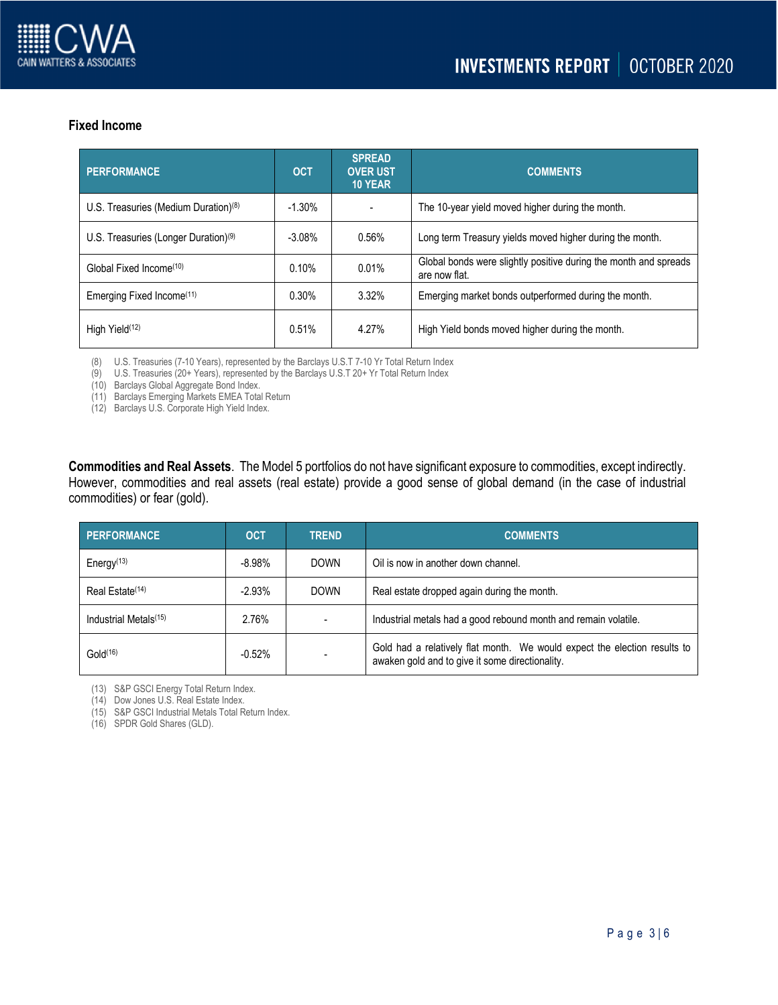

# **Fixed Income**

| <b>PERFORMANCE</b>                               | <b>OCT</b> | <b>SPREAD</b><br><b>OVER UST</b><br><b>10 YEAR</b> | <b>COMMENTS</b>                                                                   |  |  |  |  |  |
|--------------------------------------------------|------------|----------------------------------------------------|-----------------------------------------------------------------------------------|--|--|--|--|--|
| U.S. Treasuries (Medium Duration) $(8)$          | $-1.30%$   |                                                    | The 10-year yield moved higher during the month.                                  |  |  |  |  |  |
| U.S. Treasuries (Longer Duration) <sup>(9)</sup> | $-3.08%$   | 0.56%                                              | Long term Treasury yields moved higher during the month.                          |  |  |  |  |  |
| Global Fixed Income <sup>(10)</sup>              | 0.10%      | 0.01%                                              | Global bonds were slightly positive during the month and spreads<br>are now flat. |  |  |  |  |  |
| Emerging Fixed Income <sup>(11)</sup>            | $0.30\%$   | 3.32%                                              | Emerging market bonds outperformed during the month.                              |  |  |  |  |  |
| High Yield <sup>(12)</sup>                       | 0.51%      | 4.27%                                              | High Yield bonds moved higher during the month.                                   |  |  |  |  |  |

(8) U.S. Treasuries (7-10 Years), represented by the Barclays U.S.T 7-10 Yr Total Return Index

(9) U.S. Treasuries (20+ Years), represented by the Barclays U.S.T 20+ Yr Total Return Index

(10) Barclays Global Aggregate Bond Index.

(11) Barclays Emerging Markets EMEA Total Return

(12) Barclays U.S. Corporate High Yield Index.

**Commodities and Real Assets**. The Model 5 portfolios do not have significant exposure to commodities, except indirectly. However, commodities and real assets (real estate) provide a good sense of global demand (in the case of industrial commodities) or fear (gold).

| <b>PERFORMANCE</b>                | <b>OCT</b> | <b>TREND</b> | <b>COMMENTS</b>                                                                                                              |  |  |  |  |  |
|-----------------------------------|------------|--------------|------------------------------------------------------------------------------------------------------------------------------|--|--|--|--|--|
| Energy $(13)$                     | $-8.98%$   | <b>DOWN</b>  | Oil is now in another down channel.                                                                                          |  |  |  |  |  |
| Real Estate <sup>(14)</sup>       | $-2.93%$   | <b>DOWN</b>  | Real estate dropped again during the month.                                                                                  |  |  |  |  |  |
| Industrial Metals <sup>(15)</sup> | 2.76%      |              | Industrial metals had a good rebound month and remain volatile.                                                              |  |  |  |  |  |
| Gold <sup>(16)</sup>              | $-0.52%$   |              | Gold had a relatively flat month. We would expect the election results to<br>awaken gold and to give it some directionality. |  |  |  |  |  |

(13) S&P GSCI Energy Total Return Index.

(14) Dow Jones U.S. Real Estate Index.

(15) S&P GSCI Industrial Metals Total Return Index.

(16) SPDR Gold Shares (GLD).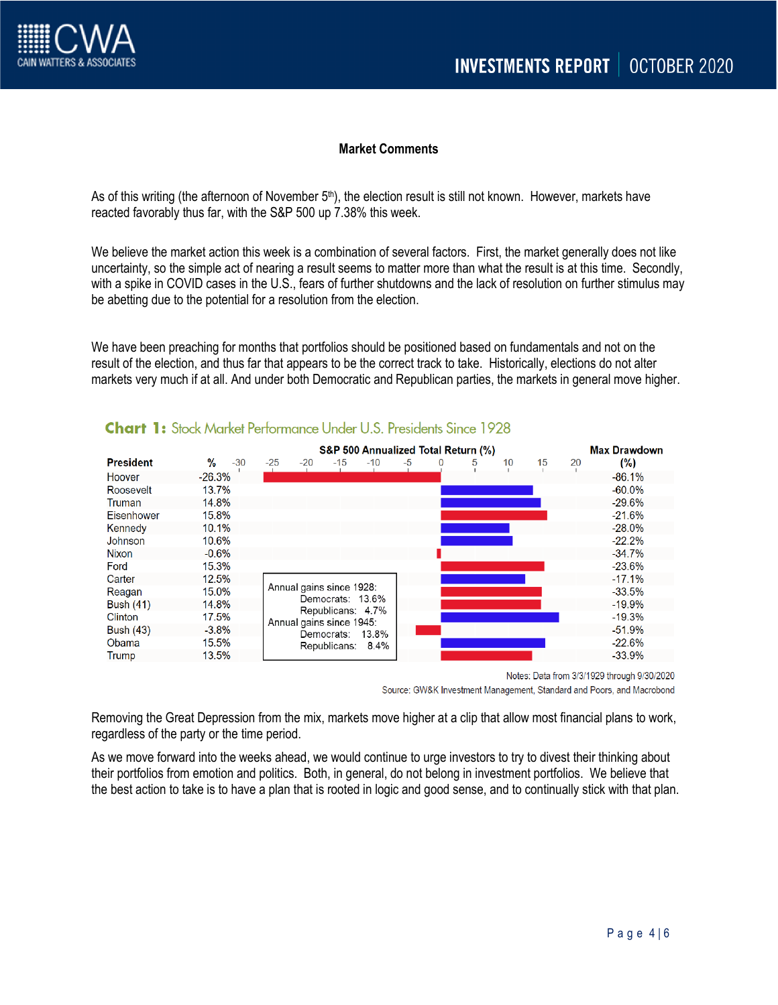

## **Market Comments**

As of this writing (the afternoon of November 5<sup>th</sup>), the election result is still not known. However, markets have reacted favorably thus far, with the S&P 500 up 7.38% this week.

We believe the market action this week is a combination of several factors. First, the market generally does not like uncertainty, so the simple act of nearing a result seems to matter more than what the result is at this time. Secondly, with a spike in COVID cases in the U.S., fears of further shutdowns and the lack of resolution on further stimulus may be abetting due to the potential for a resolution from the election.

We have been preaching for months that portfolios should be positioned based on fundamentals and not on the result of the election, and thus far that appears to be the correct track to take. Historically, elections do not alter markets very much if at all. And under both Democratic and Republican parties, the markets in general move higher.

|                  | S&P 500 Annualized Total Return (%) |                                                                                                                                                 |                |  |       |      |          |   |    |    | <b>Max Drawdown</b> |           |
|------------------|-------------------------------------|-------------------------------------------------------------------------------------------------------------------------------------------------|----------------|--|-------|------|----------|---|----|----|---------------------|-----------|
| <b>President</b> | %<br>$-30$                          | $-25$                                                                                                                                           | $-20$<br>$-15$ |  | $-10$ | $-5$ | $\Omega$ | 5 | 10 | 15 | 20                  | $(\% )$   |
| Hoover           | $-26.3%$                            |                                                                                                                                                 |                |  |       |      |          |   |    |    |                     | $-86.1%$  |
| Roosevelt        | 13.7%                               |                                                                                                                                                 |                |  |       |      |          |   |    |    |                     | $-60.0%$  |
| Truman           | 14.8%                               |                                                                                                                                                 |                |  |       |      |          |   |    |    |                     | $-29.6%$  |
| Eisenhower       | 15.8%                               |                                                                                                                                                 |                |  |       |      |          |   |    |    |                     | $-21.6%$  |
| Kennedy          | 10.1%                               |                                                                                                                                                 |                |  |       |      |          |   |    |    |                     | $-28.0\%$ |
| Johnson          | 10.6%                               |                                                                                                                                                 |                |  |       |      |          |   |    |    |                     | $-22.2%$  |
| <b>Nixon</b>     | $-0.6%$                             |                                                                                                                                                 |                |  |       |      |          |   |    |    |                     | $-34.7%$  |
| Ford             | 15.3%                               |                                                                                                                                                 |                |  |       |      |          |   |    |    |                     | $-23.6%$  |
| Carter           | 12.5%                               |                                                                                                                                                 |                |  |       |      |          |   |    |    |                     | $-17.1%$  |
| Reagan           | 15.0%                               | Annual gains since 1928:<br>Democrats: 13.6%<br>Republicans: 4.7%<br>Annual gains since 1945:<br>13.8%<br>Democrats:<br>Republicans:<br>$8.4\%$ |                |  |       |      |          |   |    |    |                     | $-33.5%$  |
| <b>Bush (41)</b> | 14.8%                               |                                                                                                                                                 |                |  |       |      |          |   |    |    |                     | $-19.9%$  |
| <b>Clinton</b>   | 17.5%                               |                                                                                                                                                 |                |  |       |      |          |   |    |    |                     | $-19.3%$  |
| Bush (43)        | $-3.8%$                             |                                                                                                                                                 |                |  |       |      |          |   |    |    |                     | $-51.9%$  |
| Obama            | 15.5%                               |                                                                                                                                                 |                |  |       |      |          |   |    |    |                     | $-22.6%$  |
| Trump            | 13.5%                               |                                                                                                                                                 |                |  |       |      |          |   |    |    | $-33.9%$            |           |

# **Chart 1:** Stock Market Performance Under U.S. Presidents Since 1928

Notes: Data from 3/3/1929 through 9/30/2020 Source: GW&K Investment Management, Standard and Poors, and Macrobond

Removing the Great Depression from the mix, markets move higher at a clip that allow most financial plans to work, regardless of the party or the time period.

As we move forward into the weeks ahead, we would continue to urge investors to try to divest their thinking about their portfolios from emotion and politics. Both, in general, do not belong in investment portfolios. We believe that the best action to take is to have a plan that is rooted in logic and good sense, and to continually stick with that plan.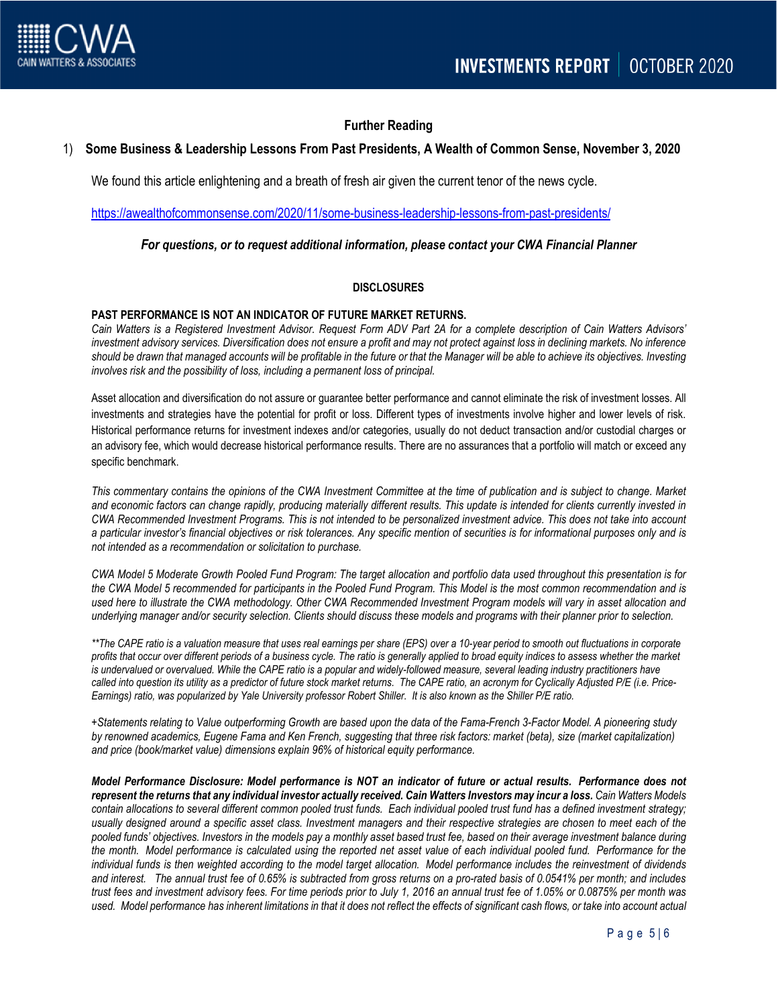

## **Further Reading**

### 1) **Some Business & Leadership Lessons From Past Presidents, A Wealth of Common Sense, November 3, 2020**

We found this article enlightening and a breath of fresh air given the current tenor of the news cycle.

<https://awealthofcommonsense.com/2020/11/some-business-leadership-lessons-from-past-presidents/>

### *For questions, or to request additional information, please contact your CWA Financial Planner*

### **DISCLOSURES**

#### **PAST PERFORMANCE IS NOT AN INDICATOR OF FUTURE MARKET RETURNS.**

*Cain Watters is a Registered Investment Advisor. Request Form ADV Part 2A for a complete description of Cain Watters Advisors' investment advisory services. Diversification does not ensure a profit and may not protect against loss in declining markets. No inference should be drawn that managed accounts will be profitable in the future or that the Manager will be able to achieve its objectives. Investing involves risk and the possibility of loss, including a permanent loss of principal.*

Asset allocation and diversification do not assure or guarantee better performance and cannot eliminate the risk of investment losses. All investments and strategies have the potential for profit or loss. Different types of investments involve higher and lower levels of risk. Historical performance returns for investment indexes and/or categories, usually do not deduct transaction and/or custodial charges or an advisory fee, which would decrease historical performance results. There are no assurances that a portfolio will match or exceed any specific benchmark.

*This commentary contains the opinions of the CWA Investment Committee at the time of publication and is subject to change. Market and economic factors can change rapidly, producing materially different results. This update is intended for clients currently invested in CWA Recommended Investment Programs. This is not intended to be personalized investment advice. This does not take into account a particular investor's financial objectives or risk tolerances. Any specific mention of securities is for informational purposes only and is not intended as a recommendation or solicitation to purchase.*

*CWA Model 5 Moderate Growth Pooled Fund Program: The target allocation and portfolio data used throughout this presentation is for the CWA Model 5 recommended for participants in the Pooled Fund Program. This Model is the most common recommendation and is used here to illustrate the CWA methodology. Other CWA Recommended Investment Program models will vary in asset allocation and underlying manager and/or security selection. Clients should discuss these models and programs with their planner prior to selection.*

*\*\*The CAPE ratio is a valuation measure that uses real earnings per share (EPS) over a 10-year period to smooth out fluctuations in corporate profits that occur over different periods of a business cycle. The ratio is generally applied to broad equity indices to assess whether the market*  is undervalued or overvalued. While the CAPE ratio is a popular and widely-followed measure, several leading industry practitioners have *called into question its utility as a predictor of future stock market returns. The CAPE ratio, an acronym for Cyclically Adjusted P/E (i.e. Price-Earnings) ratio, was popularized by Yale University professor Robert Shiller. It is also known as the Shiller P/E ratio.*

*+Statements relating to Value outperforming Growth are based upon the data of the Fama-French 3-Factor Model. A pioneering study by renowned academics, Eugene Fama and Ken French, suggesting that three risk factors: market (beta), size (market capitalization) and price (book/market value) dimensions explain 96% of historical equity performance.*

*Model Performance Disclosure: Model performance is NOT an indicator of future or actual results. Performance does not represent the returns that any individual investor actually received. Cain Watters Investors may incur a loss. Cain Watters Models contain allocations to several different common pooled trust funds. Each individual pooled trust fund has a defined investment strategy; usually designed around a specific asset class. Investment managers and their respective strategies are chosen to meet each of the pooled funds' objectives. Investors in the models pay a monthly asset based trust fee, based on their average investment balance during the month. Model performance is calculated using the reported net asset value of each individual pooled fund. Performance for the individual funds is then weighted according to the model target allocation. Model performance includes the reinvestment of dividends and interest. The annual trust fee of 0.65% is subtracted from gross returns on a pro-rated basis of 0.0541% per month; and includes trust fees and investment advisory fees. For time periods prior to July 1, 2016 an annual trust fee of 1.05% or 0.0875% per month was used. Model performance has inherent limitations in that it does not reflect the effects of significant cash flows, or take into account actual*